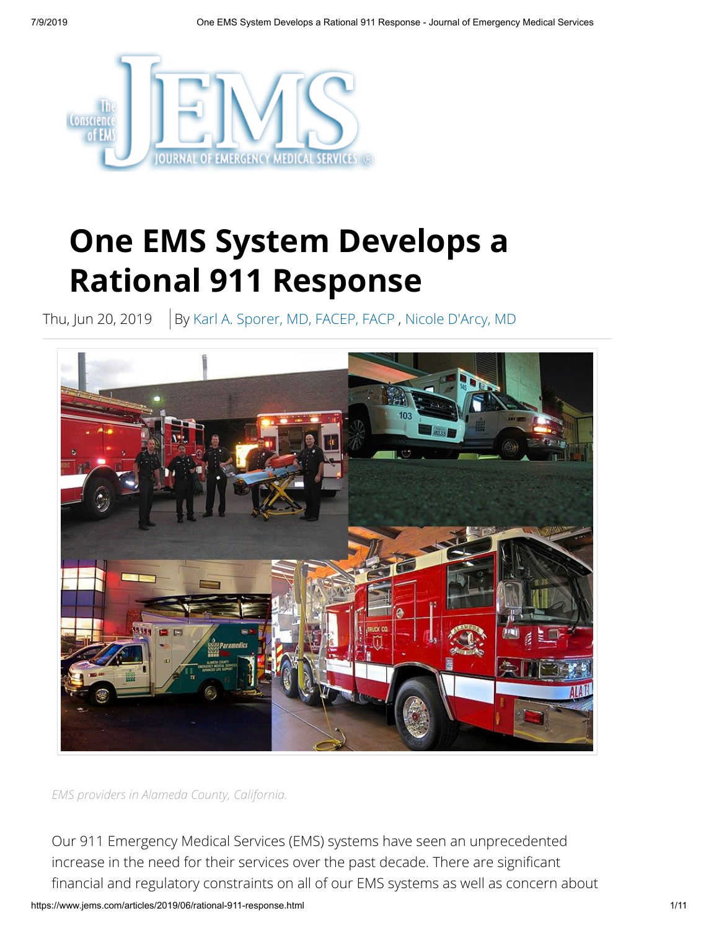

# **One EMS System Develops a Rational 911 Response**

Thu, Jun 20, 2019 | By [Karl A. Sporer, MD, FACEP, FACP](https://www.jems.com/content/jems/en/authors/g-k/karl-sporer-md-facep-facp.html), [Nicole D'Arcy, MD](https://www.jems.com/content/jems/en/authors/a-f/nicole-d-arcy.html)



*EMS providers in Alameda County, California.*

Our 911 Emergency Medical Services (EMS) systems have seen an unprecedented increase in the need for their services over the past decade. There are significant nancial and regulatory constraints on all of our EMS systems as well as concern about

https://www.jems.com/articles/2019/06/rational-911-response.html 1/11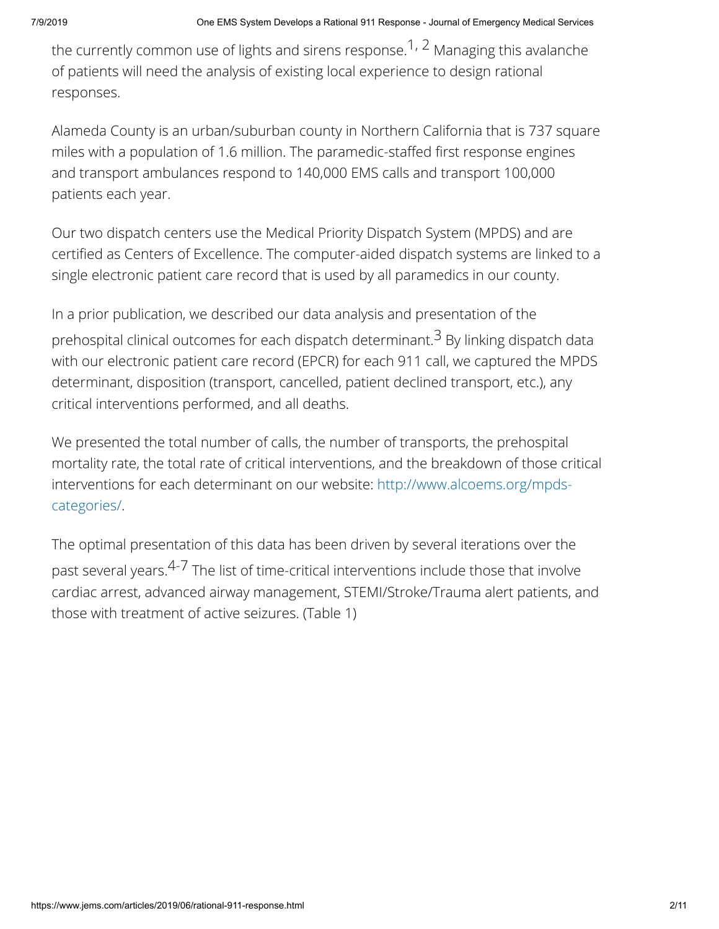the currently common use of lights and sirens response.<sup>1, 2</sup> Managing this avalanche of patients will need the analysis of existing local experience to design rational responses.

Alameda County is an urban/suburban county in Northern California that is 737 square miles with a population of 1.6 million. The paramedic-staffed first response engines and transport ambulances respond to 140,000 EMS calls and transport 100,000 patients each year.

Our two dispatch centers use the Medical Priority Dispatch System (MPDS) and are certified as Centers of Excellence. The computer-aided dispatch systems are linked to a single electronic patient care record that is used by all paramedics in our county.

In a prior publication, we described our data analysis and presentation of the prehospital clinical outcomes for each dispatch determinant.<sup>3</sup> By linking dispatch data with our electronic patient care record (EPCR) for each 911 call, we captured the MPDS determinant, disposition (transport, cancelled, patient declined transport, etc.), any critical interventions performed, and all deaths.

We presented the total number of calls, the number of transports, the prehospital mortality rate, the total rate of critical interventions, and the breakdown of those critical [interventions for each determinant on our website: http://www.alcoems.org/mpds](http://www.alcoems.org/mpds-categories/)categories/.

The optimal presentation of this data has been driven by several iterations over the past several years.<sup>4-7</sup> The list of time-critical interventions include those that involve cardiac arrest, advanced airway management, STEMI/Stroke/Trauma alert patients, and those with treatment of active seizures. (Table 1)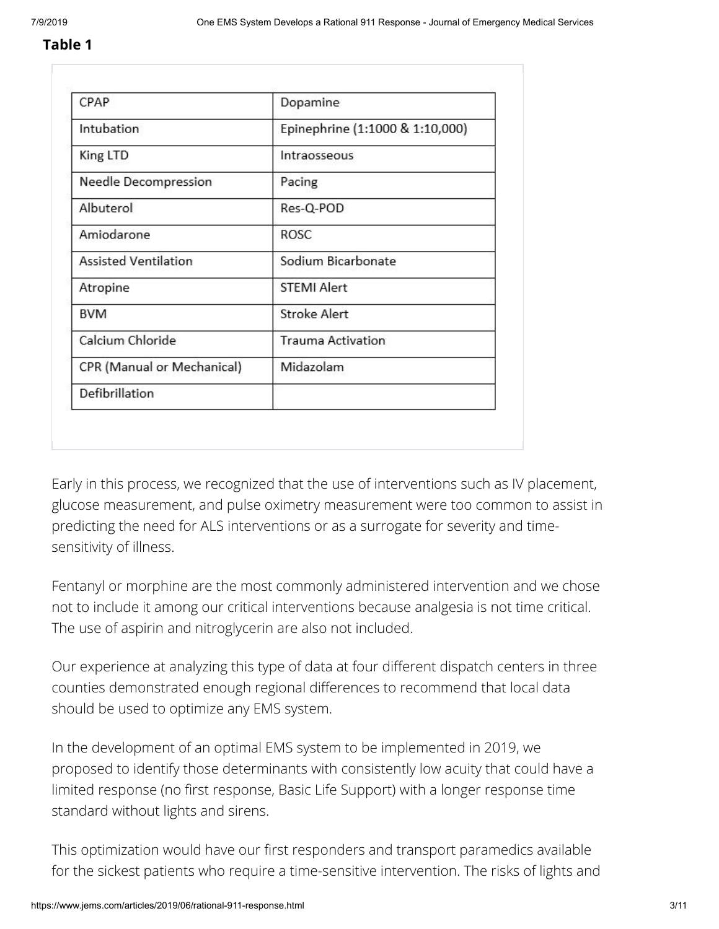#### **Table 1**

| CPAP                       | Dopamine                        |
|----------------------------|---------------------------------|
| Intubation                 | Epinephrine (1:1000 & 1:10,000) |
| King LTD                   | Intraosseous                    |
| Needle Decompression       | Pacing                          |
| Albuterol                  | Res-Q-POD                       |
| Amiodarone                 | ROSC                            |
| Assisted Ventilation       | Sodium Bicarbonate              |
| Atropine                   | <b>STEMI Alert</b>              |
| <b>BVM</b>                 | <b>Stroke Alert</b>             |
| Calcium Chloride           | <b>Trauma Activation</b>        |
| CPR (Manual or Mechanical) | Midazolam                       |
| Defibrillation             |                                 |

Early in this process, we recognized that the use of interventions such as IV placement, glucose measurement, and pulse oximetry measurement were too common to assist in predicting the need for ALS interventions or as a surrogate for severity and timesensitivity of illness.

Fentanyl or morphine are the most commonly administered intervention and we chose not to include it among our critical interventions because analgesia is not time critical. The use of aspirin and nitroglycerin are also not included.

Our experience at analyzing this type of data at four different dispatch centers in three counties demonstrated enough regional differences to recommend that local data should be used to optimize any EMS system.

In the development of an optimal EMS system to be implemented in 2019, we proposed to identify those determinants with consistently low acuity that could have a limited response (no first response, Basic Life Support) with a longer response time standard without lights and sirens.

This optimization would have our first responders and transport paramedics available for the sickest patients who require a time-sensitive intervention. The risks of lights and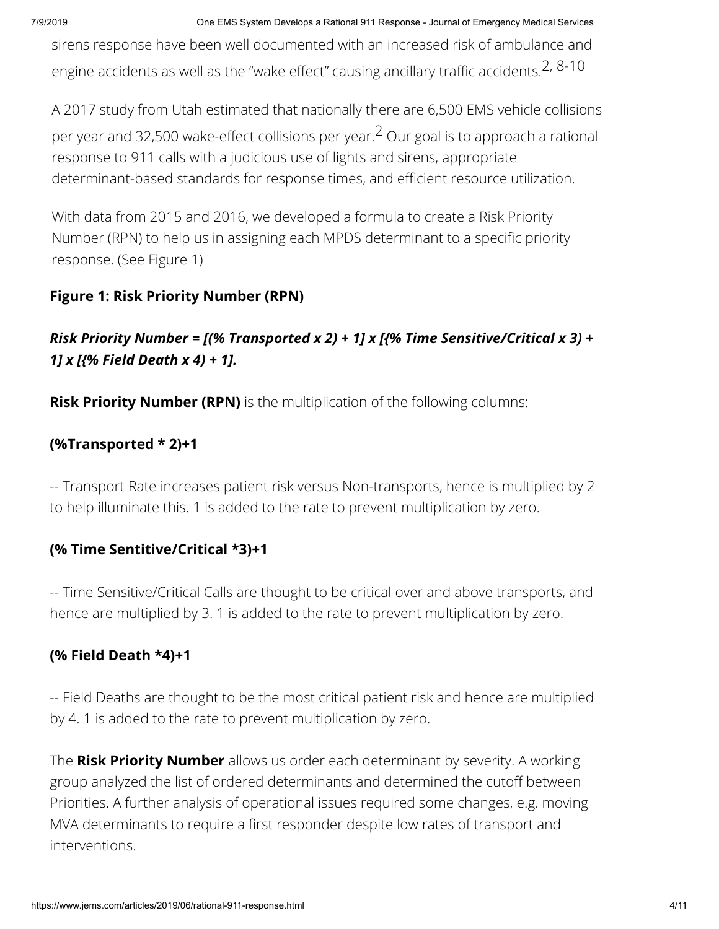7/9/2019 One EMS System Develops a Rational 911 Response - Journal of Emergency Medical Services

sirens response have been well documented with an increased risk of ambulance and engine accidents as well as the "wake effect" causing ancillary traffic accidents.<sup>2, 8-10</sup>

A 2017 study from Utah estimated that nationally there are 6,500 EMS vehicle collisions per year and 32,500 wake-effect collisions per year.<sup>2</sup> Our goal is to approach a rational response to 911 calls with a judicious use of lights and sirens, appropriate determinant-based standards for response times, and efficient resource utilization.

With data from 2015 and 2016, we developed a formula to create a Risk Priority Number (RPN) to help us in assigning each MPDS determinant to a specific priority response. (See Figure 1)

## **Figure 1: Risk Priority Number (RPN)**

# *Risk Priority Number = [(% Transported x 2) + 1] x [{% Time Sensitive/Critical x 3) + 1] x [{% Field Death x 4) + 1].*

**Risk Priority Number (RPN)** is the multiplication of the following columns:

## **(%Transported \* 2)+1**

-- Transport Rate increases patient risk versus Non-transports, hence is multiplied by 2 to help illuminate this. 1 is added to the rate to prevent multiplication by zero.

## **(% Time Sentitive/Critical \*3)+1**

-- Time Sensitive/Critical Calls are thought to be critical over and above transports, and hence are multiplied by 3. 1 is added to the rate to prevent multiplication by zero.

## **(% Field Death \*4)+1**

-- Field Deaths are thought to be the most critical patient risk and hence are multiplied by 4. 1 is added to the rate to prevent multiplication by zero.

The **Risk Priority Number** allows us order each determinant by severity. A working group analyzed the list of ordered determinants and determined the cutoff between Priorities. A further analysis of operational issues required some changes, e.g. moving MVA determinants to require a first responder despite low rates of transport and interventions.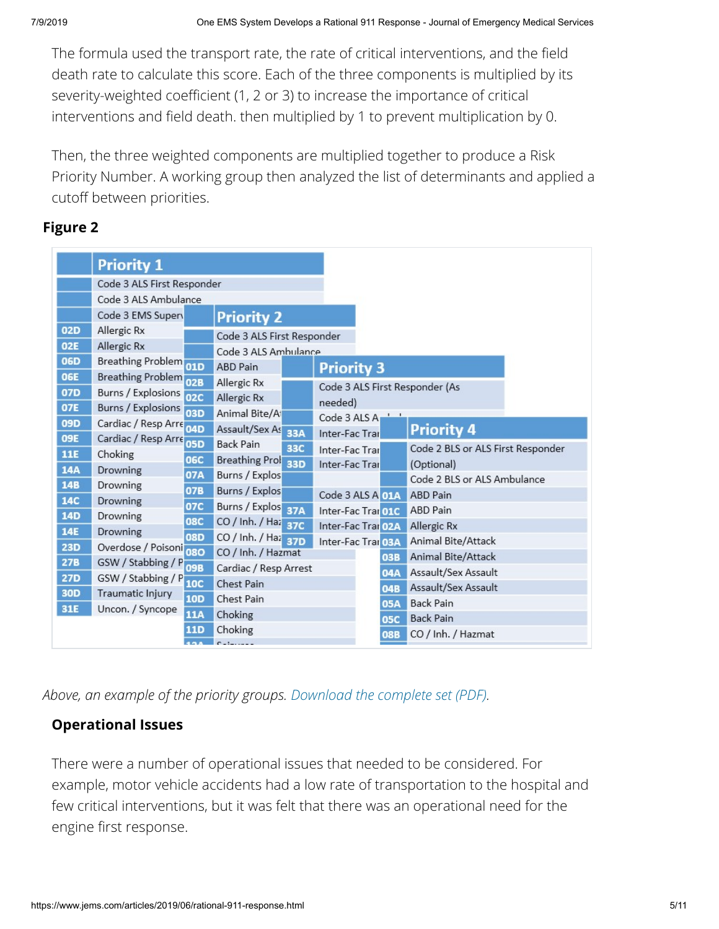The formula used the transport rate, the rate of critical interventions, and the field death rate to calculate this score. Each of the three components is multiplied by its severity-weighted coefficient (1, 2 or 3) to increase the importance of critical interventions and field death. then multiplied by 1 to prevent multiplication by 0.

Then, the three weighted components are multiplied together to produce a Risk Priority Number. A working group then analyzed the list of determinants and applied a cutoff between priorities.

#### **Figure 2**

| <b>Priority 1</b>          |                                                                                                                                                                               |                                                                                                                                                                                                                                                                          |             |                                                                                                                                                                       |                                                                             |                                                               |                                                                                                                         |                                                                                                                                                          |
|----------------------------|-------------------------------------------------------------------------------------------------------------------------------------------------------------------------------|--------------------------------------------------------------------------------------------------------------------------------------------------------------------------------------------------------------------------------------------------------------------------|-------------|-----------------------------------------------------------------------------------------------------------------------------------------------------------------------|-----------------------------------------------------------------------------|---------------------------------------------------------------|-------------------------------------------------------------------------------------------------------------------------|----------------------------------------------------------------------------------------------------------------------------------------------------------|
| Code 3 ALS First Responder |                                                                                                                                                                               |                                                                                                                                                                                                                                                                          |             |                                                                                                                                                                       |                                                                             |                                                               |                                                                                                                         |                                                                                                                                                          |
|                            |                                                                                                                                                                               |                                                                                                                                                                                                                                                                          |             |                                                                                                                                                                       |                                                                             |                                                               |                                                                                                                         |                                                                                                                                                          |
| Code 3 EMS Supery          |                                                                                                                                                                               |                                                                                                                                                                                                                                                                          |             |                                                                                                                                                                       |                                                                             |                                                               |                                                                                                                         |                                                                                                                                                          |
| Allergic Rx                |                                                                                                                                                                               |                                                                                                                                                                                                                                                                          |             |                                                                                                                                                                       |                                                                             |                                                               |                                                                                                                         |                                                                                                                                                          |
| Allergic Rx                |                                                                                                                                                                               |                                                                                                                                                                                                                                                                          |             |                                                                                                                                                                       |                                                                             |                                                               |                                                                                                                         |                                                                                                                                                          |
| Breathing Problem          | 01D                                                                                                                                                                           | <b>ABD Pain</b>                                                                                                                                                                                                                                                          |             |                                                                                                                                                                       |                                                                             |                                                               |                                                                                                                         |                                                                                                                                                          |
|                            | <b>02B</b>                                                                                                                                                                    |                                                                                                                                                                                                                                                                          |             |                                                                                                                                                                       |                                                                             |                                                               |                                                                                                                         |                                                                                                                                                          |
| Burns / Explosions         |                                                                                                                                                                               | Allergic Rx                                                                                                                                                                                                                                                              |             |                                                                                                                                                                       |                                                                             |                                                               |                                                                                                                         |                                                                                                                                                          |
|                            | <b>03D</b>                                                                                                                                                                    | Animal Bite/At                                                                                                                                                                                                                                                           |             |                                                                                                                                                                       |                                                                             |                                                               |                                                                                                                         |                                                                                                                                                          |
|                            |                                                                                                                                                                               |                                                                                                                                                                                                                                                                          |             |                                                                                                                                                                       |                                                                             |                                                               |                                                                                                                         |                                                                                                                                                          |
|                            |                                                                                                                                                                               | <b>Back Pain</b>                                                                                                                                                                                                                                                         |             |                                                                                                                                                                       |                                                                             |                                                               |                                                                                                                         |                                                                                                                                                          |
|                            |                                                                                                                                                                               |                                                                                                                                                                                                                                                                          |             |                                                                                                                                                                       |                                                                             |                                                               |                                                                                                                         |                                                                                                                                                          |
|                            |                                                                                                                                                                               | Burns / Explos                                                                                                                                                                                                                                                           |             |                                                                                                                                                                       |                                                                             |                                                               |                                                                                                                         |                                                                                                                                                          |
|                            |                                                                                                                                                                               | Burns / Explos                                                                                                                                                                                                                                                           |             |                                                                                                                                                                       |                                                                             |                                                               |                                                                                                                         |                                                                                                                                                          |
|                            |                                                                                                                                                                               |                                                                                                                                                                                                                                                                          |             |                                                                                                                                                                       |                                                                             |                                                               | <b>ABD Pain</b>                                                                                                         |                                                                                                                                                          |
|                            | <b>08C</b>                                                                                                                                                                    |                                                                                                                                                                                                                                                                          |             |                                                                                                                                                                       |                                                                             |                                                               | Allergic Rx                                                                                                             |                                                                                                                                                          |
|                            | <b>08D</b>                                                                                                                                                                    |                                                                                                                                                                                                                                                                          |             |                                                                                                                                                                       |                                                                             |                                                               | Animal Bite/Attack                                                                                                      |                                                                                                                                                          |
|                            |                                                                                                                                                                               |                                                                                                                                                                                                                                                                          |             |                                                                                                                                                                       |                                                                             | <b>03B</b>                                                    | Animal Bite/Attack                                                                                                      |                                                                                                                                                          |
|                            |                                                                                                                                                                               |                                                                                                                                                                                                                                                                          |             |                                                                                                                                                                       |                                                                             | <b>04A</b>                                                    | Assault/Sex Assault                                                                                                     |                                                                                                                                                          |
|                            |                                                                                                                                                                               | Chest Pain                                                                                                                                                                                                                                                               |             |                                                                                                                                                                       |                                                                             | 04B                                                           | Assault/Sex Assault                                                                                                     |                                                                                                                                                          |
|                            |                                                                                                                                                                               | Chest Pain                                                                                                                                                                                                                                                               |             |                                                                                                                                                                       |                                                                             | <b>05A</b>                                                    | <b>Back Pain</b>                                                                                                        |                                                                                                                                                          |
|                            |                                                                                                                                                                               | Choking                                                                                                                                                                                                                                                                  |             |                                                                                                                                                                       |                                                                             | <b>05C</b>                                                    | <b>Back Pain</b>                                                                                                        |                                                                                                                                                          |
|                            |                                                                                                                                                                               | Choking                                                                                                                                                                                                                                                                  |             |                                                                                                                                                                       |                                                                             | <b>08B</b>                                                    | CO / Inh. / Hazmat                                                                                                      |                                                                                                                                                          |
|                            | Burns / Explosions<br>Choking<br>Drowning<br>Drowning<br>Drowning<br>Drowning<br>Drowning<br>GSW / Stabbing / P<br>GSW / Stabbing / P<br>Traumatic Injury<br>Uncon. / Syncope | Code 3 ALS Ambulance<br><b>Breathing Problem</b><br><b>02C</b><br>Cardiac / Resp Arre 04D<br>Cardiac / Resp Arre<br><b>05D</b><br><b>06C</b><br>07A<br><b>07B</b><br>07C<br>Overdose / Poisoni 080<br><b>09B</b><br><b>10C</b><br><b>10D</b><br><b>11A</b><br><b>11D</b> | Allergic Rx | <b>Priority 2</b><br>Assault/Sex As 33A<br><b>33C</b><br>Breathing Prof 33D<br>Burns / Explos 37A<br>CO / Inh. / Haz 37C<br>CO / Inh. / Haz 37D<br>CO / Inh. / Hazmat | Code 3 ALS First Responder<br>Code 3 ALS Ambulance<br>Cardiac / Resp Arrest | needed)<br>Inter-Fac Tran<br>Inter-Fac Tran<br>Inter-Fac Tran | <b>Priority 3</b><br>Code 3 ALS A<br>Code 3 ALS A 01A<br>Inter-Fac Tran 01C<br>Inter-Fac Trai 02A<br>Inter-Fac Trar 03A | Code 3 ALS First Responder (As<br><b>Priority 4</b><br>Code 2 BLS or ALS First Responder<br>(Optional)<br>Code 2 BLS or ALS Ambulance<br><b>ABD Pain</b> |

*Above, an example of the priority groups. [Download the complete set \(PDF\)](https://www.jems.com/content/dam/jems/PDFs/20190620-sporer-priority-final.pdf).*

#### **Operational Issues**

There were a number of operational issues that needed to be considered. For example, motor vehicle accidents had a low rate of transportation to the hospital and few critical interventions, but it was felt that there was an operational need for the engine first response.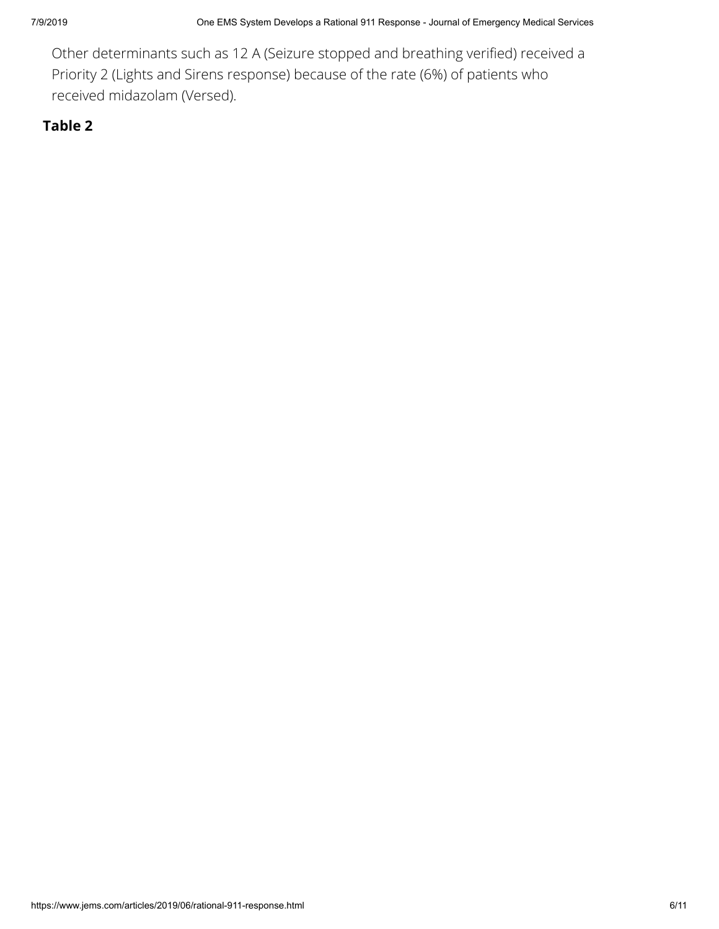Other determinants such as 12 A (Seizure stopped and breathing verified) received a Priority 2 (Lights and Sirens response) because of the rate (6%) of patients who received midazolam (Versed).

#### **Table 2**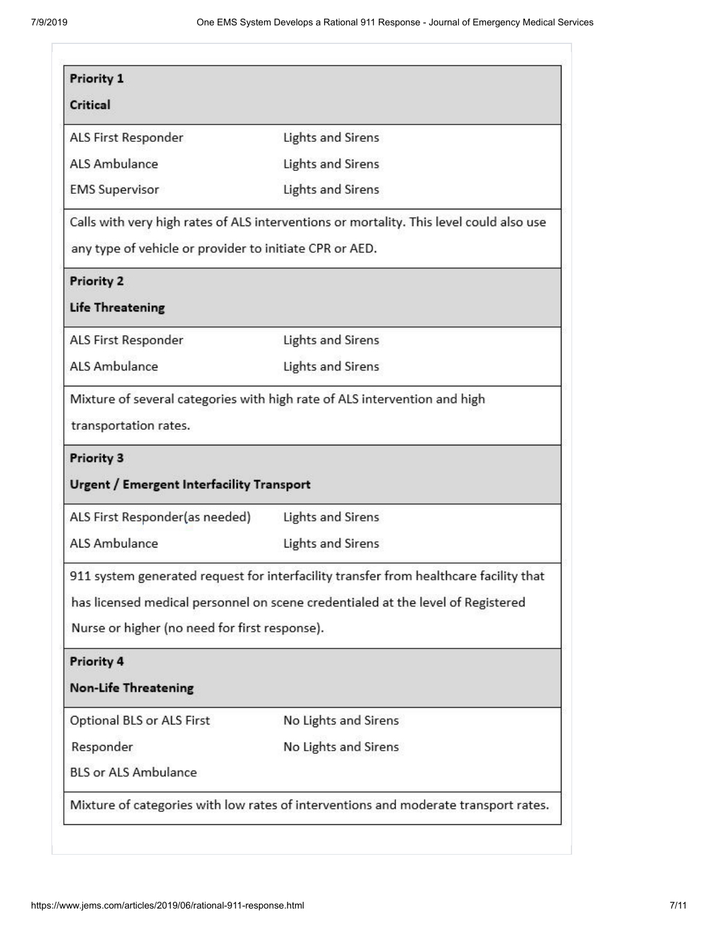| Priority 1                                              |                                                                                         |
|---------------------------------------------------------|-----------------------------------------------------------------------------------------|
| Critical                                                |                                                                                         |
| ALS First Responder                                     | Lights and Sirens                                                                       |
| <b>ALS Ambulance</b>                                    | Lights and Sirens                                                                       |
| <b>EMS Supervisor</b>                                   | <b>Lights and Sirens</b>                                                                |
|                                                         | Calls with very high rates of ALS interventions or mortality. This level could also use |
| any type of vehicle or provider to initiate CPR or AED. |                                                                                         |
| <b>Priority 2</b>                                       |                                                                                         |
| <b>Life Threatening</b>                                 |                                                                                         |
| ALS First Responder                                     | Lights and Sirens                                                                       |
| <b>ALS Ambulance</b>                                    | Lights and Sirens                                                                       |
|                                                         | Mixture of several categories with high rate of ALS intervention and high               |
| transportation rates.                                   |                                                                                         |
|                                                         |                                                                                         |
| Priority 3                                              |                                                                                         |
| <b>Urgent / Emergent Interfacility Transport</b>        |                                                                                         |
| ALS First Responder(as needed)                          | Lights and Sirens                                                                       |
| <b>ALS Ambulance</b>                                    | Lights and Sirens                                                                       |
|                                                         | 911 system generated request for interfacility transfer from healthcare facility that   |
|                                                         | has licensed medical personnel on scene credentialed at the level of Registered         |
| Nurse or higher (no need for first response).           |                                                                                         |
| Priority 4                                              |                                                                                         |
| <b>Non-Life Threatening</b>                             |                                                                                         |
| Optional BLS or ALS First                               | No Lights and Sirens                                                                    |
| Responder                                               | No Lights and Sirens                                                                    |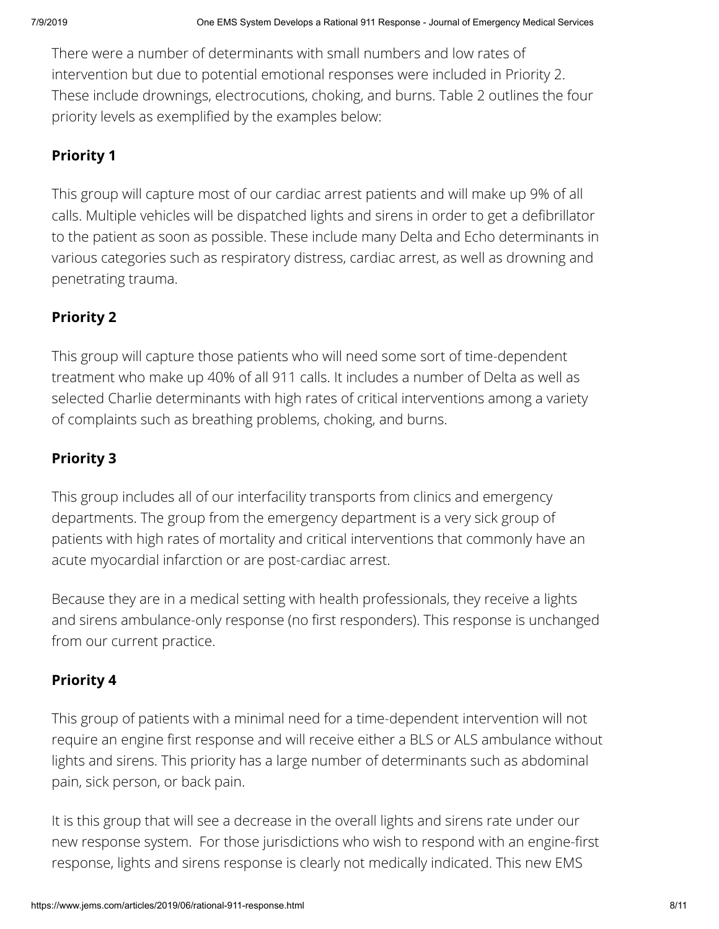There were a number of determinants with small numbers and low rates of intervention but due to potential emotional responses were included in Priority 2. These include drownings, electrocutions, choking, and burns. Table 2 outlines the four priority levels as exemplified by the examples below:

#### **Priority 1**

This group will capture most of our cardiac arrest patients and will make up 9% of all calls. Multiple vehicles will be dispatched lights and sirens in order to get a defibrillator to the patient as soon as possible. These include many Delta and Echo determinants in various categories such as respiratory distress, cardiac arrest, as well as drowning and penetrating trauma.

#### **Priority 2**

This group will capture those patients who will need some sort of time-dependent treatment who make up 40% of all 911 calls. It includes a number of Delta as well as selected Charlie determinants with high rates of critical interventions among a variety of complaints such as breathing problems, choking, and burns.

#### **Priority 3**

This group includes all of our interfacility transports from clinics and emergency departments. The group from the emergency department is a very sick group of patients with high rates of mortality and critical interventions that commonly have an acute myocardial infarction or are post-cardiac arrest.

Because they are in a medical setting with health professionals, they receive a lights and sirens ambulance-only response (no first responders). This response is unchanged from our current practice.

#### **Priority 4**

This group of patients with a minimal need for a time-dependent intervention will not require an engine first response and will receive either a BLS or ALS ambulance without lights and sirens. This priority has a large number of determinants such as abdominal pain, sick person, or back pain.

It is this group that will see a decrease in the overall lights and sirens rate under our new response system. For those jurisdictions who wish to respond with an engine-first response, lights and sirens response is clearly not medically indicated. This new EMS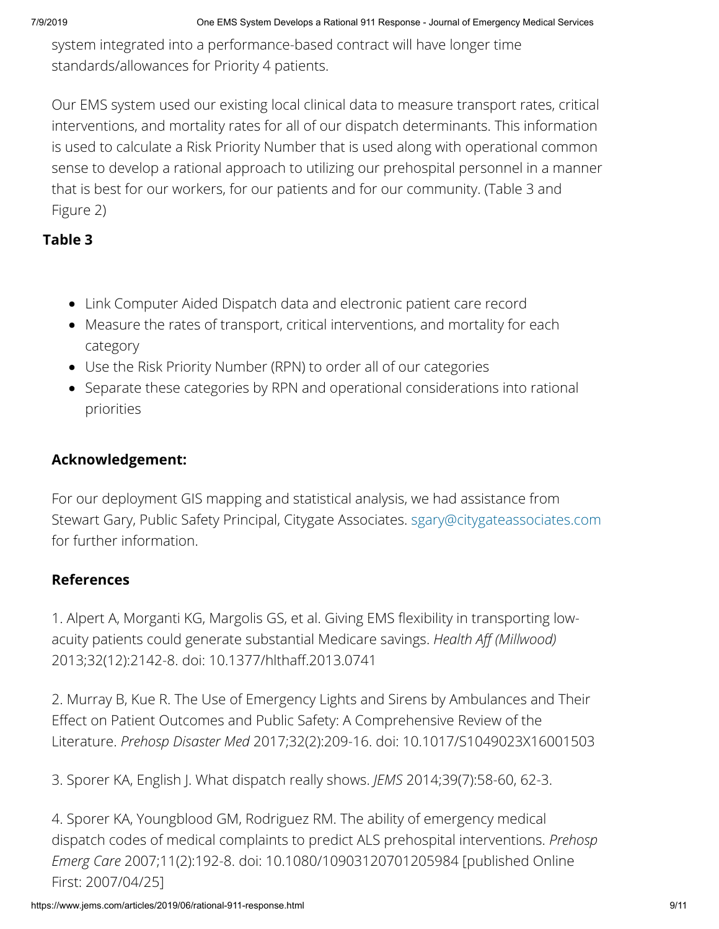system integrated into a performance-based contract will have longer time standards/allowances for Priority 4 patients.

Our EMS system used our existing local clinical data to measure transport rates, critical interventions, and mortality rates for all of our dispatch determinants. This information is used to calculate a Risk Priority Number that is used along with operational common sense to develop a rational approach to utilizing our prehospital personnel in a manner that is best for our workers, for our patients and for our community. (Table 3 and Figure 2)

# **Table 3**

- Link Computer Aided Dispatch data and electronic patient care record
- Measure the rates of transport, critical interventions, and mortality for each category
- Use the Risk Priority Number (RPN) to order all of our categories
- Separate these categories by RPN and operational considerations into rational priorities

## **Acknowledgement:**

For our deployment GIS mapping and statistical analysis, we had assistance from Stewart Gary, Public Safety Principal, Citygate Associates. [sgary@citygateassociates.com](mailto:sgary@citygateassociates.com) for further information.

## **References**

1. Alpert A, Morganti KG, Margolis GS, et al. Giving EMS flexibility in transporting lowacuity patients could generate substantial Medicare savings. *Health Aff (Millwood)* 2013;32(12):2142-8. doi: 10.1377/hlthaff.2013.0741

2. Murray B, Kue R. The Use of Emergency Lights and Sirens by Ambulances and Their Effect on Patient Outcomes and Public Safety: A Comprehensive Review of the Literature. *Prehosp Disaster Med* 2017;32(2):209-16. doi: 10.1017/S1049023X16001503

3. Sporer KA, English J. What dispatch really shows. *JEMS* 2014;39(7):58-60, 62-3.

4. Sporer KA, Youngblood GM, Rodriguez RM. The ability of emergency medical dispatch codes of medical complaints to predict ALS prehospital interventions. *Prehosp Emerg Care* 2007;11(2):192-8. doi: 10.1080/10903120701205984 [published Online First: 2007/04/25]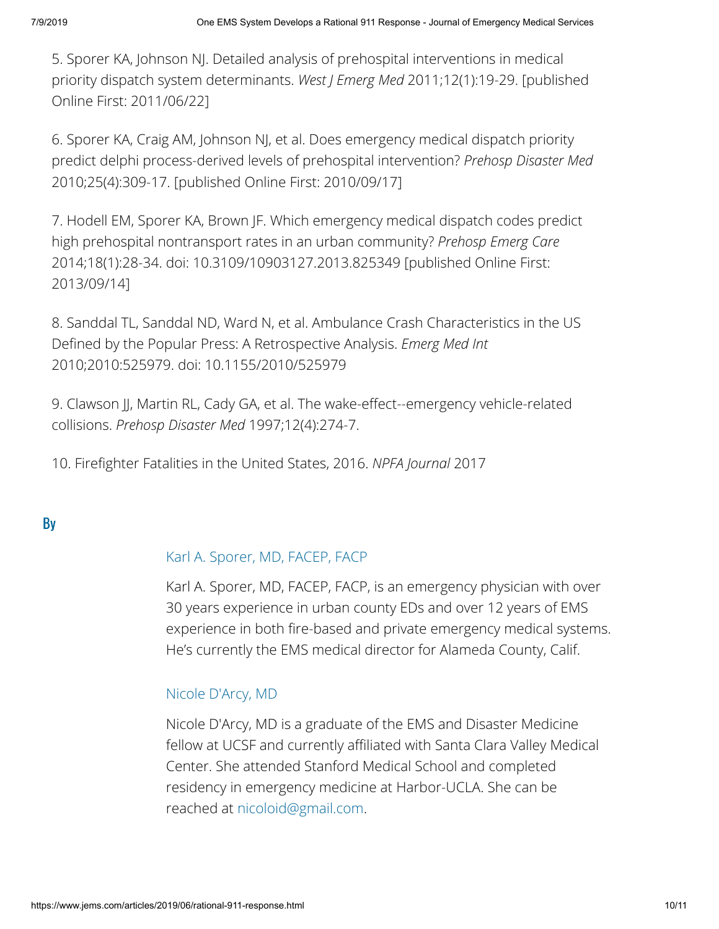5. Sporer KA, Johnson NJ. Detailed analysis of prehospital interventions in medical priority dispatch system determinants. *West J Emerg Med* 2011;12(1):19-29. [published Online First: 2011/06/22]

6. Sporer KA, Craig AM, Johnson NJ, et al. Does emergency medical dispatch priority predict delphi process-derived levels of prehospital intervention? *Prehosp Disaster Med* 2010;25(4):309-17. [published Online First: 2010/09/17]

7. Hodell EM, Sporer KA, Brown JF. Which emergency medical dispatch codes predict high prehospital nontransport rates in an urban community? *Prehosp Emerg Care* 2014;18(1):28-34. doi: 10.3109/10903127.2013.825349 [published Online First: 2013/09/14]

8. Sanddal TL, Sanddal ND, Ward N, et al. Ambulance Crash Characteristics in the US Defined by the Popular Press: A Retrospective Analysis. *Emerg Med Int* 2010;2010:525979. doi: 10.1155/2010/525979

9. Clawson JJ, Martin RL, Cady GA, et al. The wake-effect--emergency vehicle-related collisions. *Prehosp Disaster Med* 1997;12(4):274-7.

10. Fireghter Fatalities in the United States, 2016. *NPFA Journal* 2017

# By

## [Karl A. Sporer, MD, FACEP, FACP](https://www.jems.com/content/jems/en/authors/g-k/karl-sporer-md-facep-facp.html)

Karl A. Sporer, MD, FACEP, FACP, is an emergency physician with over 30 years experience in urban county EDs and over 12 years of EMS experience in both fire-based and private emergency medical systems. He's currently the EMS medical director for Alameda County, Calif.

#### [Nicole D'Arcy, MD](https://www.jems.com/content/jems/en/authors/a-f/nicole-d-arcy.html)

Nicole D'Arcy, MD is a graduate of the EMS and Disaster Medicine fellow at UCSF and currently affiliated with Santa Clara Valley Medical Center. She attended Stanford Medical School and completed residency in emergency medicine at Harbor-UCLA. She can be reached at [nicoloid@gmail.com.](mailto:nicoloid@gmail.com)